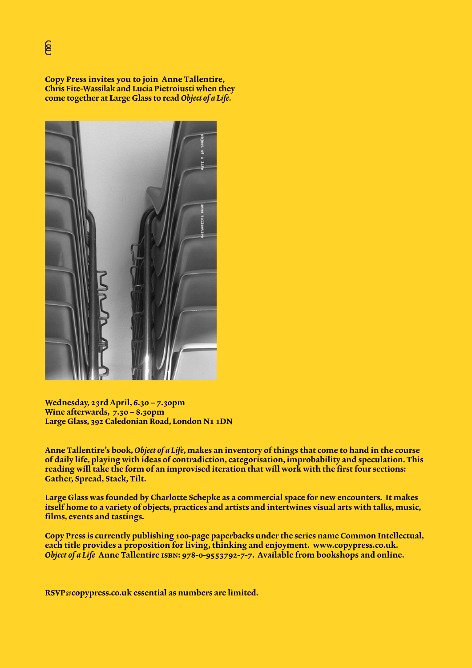Copy Press invites you to join Anne Tallentire, Chris Fite-Wassilak and Lucia Pietroiusti when they come together at Large Glass to read *Object of a Life.*



Wednesday, 23rd April, 6.30 – 7.30pm Wine afterwards, 7.30 – 8.30pm Large Glass, 392 Caledonian Road, London N1 1DN

Anne Tallentire's book, *Object of a Life*, makes an inventory of things that come to hand in the course of daily life, playing with ideas of contradiction, categorisation, improbability and speculation. This reading will take the form of an improvised iteration that will work with the first four sections: Gather, Spread, Stack, Tilt.

Large Glass was founded by Charlotte Schepke as a commercial space for new encounters. It makes itself home to a variety of objects, practices and artists and intertwines visual arts with talks, music, films, events and tastings.

Copy Press is currently publishing 100-page paperbacks under the series name Common Intellectual, each title provides a proposition for living, thinking and enjoyment. [www.copypress.co.uk.](http://www.copypress.co.uk) *Object of a Life* Anne Tallentire isbn: 978-0-9553792-7-7. Available from bookshops and [0nline](http://www.bookdepository.co.uk/Object-Life-Anne-Tallentire/9780955379277).

RSVP@[copypress.co.uk](mailto:RSVP%40copypress.co.uk?subject=Anne%20Tallentire_Reading%20with%20Chris%20Fite-Wassilak%20and%20Lucia%20Pietroiusti) essential as numbers are limited.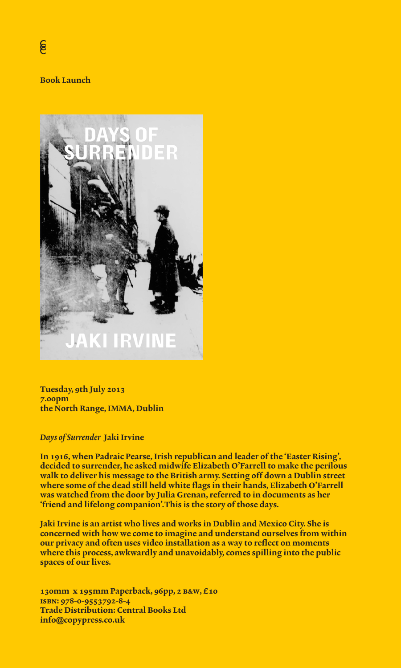### Book Launch



Tuesday, 9th July 2013 7.00pm the North Range, IMMA, Dublin

### *Days of Surrender* Jaki Irvine

In 1916, when Padraic Pearse, Irish republican and leader of the 'Easter Rising', decided to surrender, he asked midwife Elizabeth O'Farrell to make the perilous walk to deliver his message to the British army. Setting off down a Dublin street where some of the dead still held white flags in their hands, Elizabeth O'Farrell was watched from the door by Julia Grenan, referred to in documents as her 'friend and lifelong companion'.This is the story of those days.

Jaki Irvine is an artist who lives and works in Dublin and Mexico City. She is concerned with how we come to imagine and understand ourselves from within our privacy and often uses video installation as a way to reflect on moments where this process, awkwardly and unavoidably, comes spilling into the public spaces of our lives.

130mm x 195mm Paperback, 96pp, 2 b&w, £10 isbn: 978-0-9553792-8-4 Trade Distribution: Central Books Ltd info**@**copypress.co.uk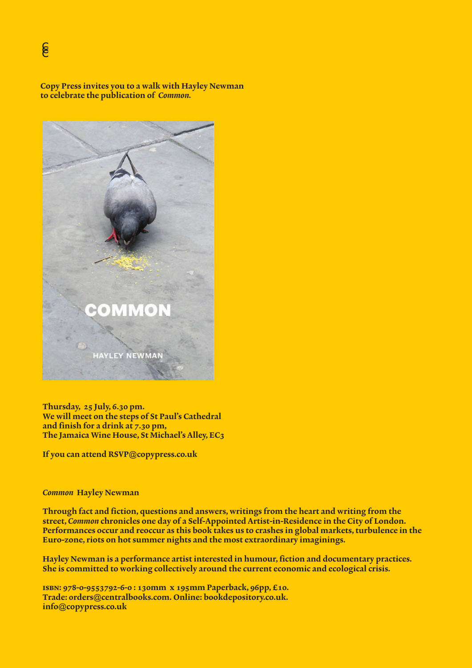Copy Press invites you to a walk with Hayley Newman to celebrate the publication of *Common.*



Thursday, 25 July, 6.30 pm. We will meet on the steps of St Paul's Cathedral and finish for a drink at 7.30 pm, The Jamaica Wine House, St Michael's Alley, EC3

If you can attend RSVP@copypress.co.uk

#### *Common* Hayley Newman

Through fact and fiction, questions and answers, writings from the heart and writing from the street, *Common* chronicles one day of a Self-Appointed Artist-in-Residence in the City of London. Performances occur and reoccur as this book takes us to crashes in global markets, turbulence in the Euro-zone, riots on hot summer nights and the most extraordinary imaginings.

Hayley Newman is a performance artist interested in humour, fiction and documentary practices. She is committed to working collectively around the current economic and ecological crisis.

isbn: 978-0-9553792-6-0 : 130mm x 195mm Paperback, 96pp, £10. Trade: 0rders@centralbooks.com. Online: bookdepository.co.uk. info@copypress.co.uk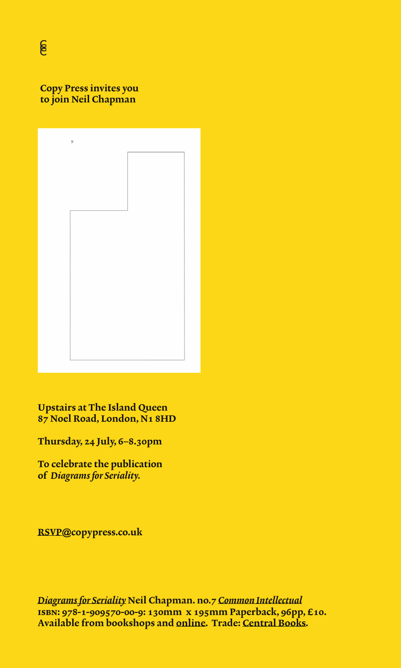[Copy Press](http://www.copypress.co.uk/index/copy-press-manifesto/) invites you to join Neil Chapman



Upstairs at The Island Queen 87 Noel Road, London, N1 8HD

Thursday, 24 July, 6–8.30pm

To celebrate the publication of *Diagrams for Seriality.*

[RSVP](mailto:RSVP%40copypress.co.uk?subject=24%20July_Diagrams%20for%20Seriality)**@**[copypress.co.uk](mailto:RSVP%40copypress.co.uk?subject=)

*[Diagrams for Seriality](http://www.copypress.co.uk/index/diagrams-for-seriality/)* Neil Chapman. no.7 *[Common Intellectual](http://www.copypress.co.uk)* isbn: 978-1-909570-00-9: 130mm x 195mm Paperback, 96pp, £10. Available from bookshops and [online](http://www.bookdepository.com/Diagrams-for-Seriality-Neil-Chapman/9781909570009). Trade: [Central Books](http://www.centralbooks.co.uk/acatalog/search.html).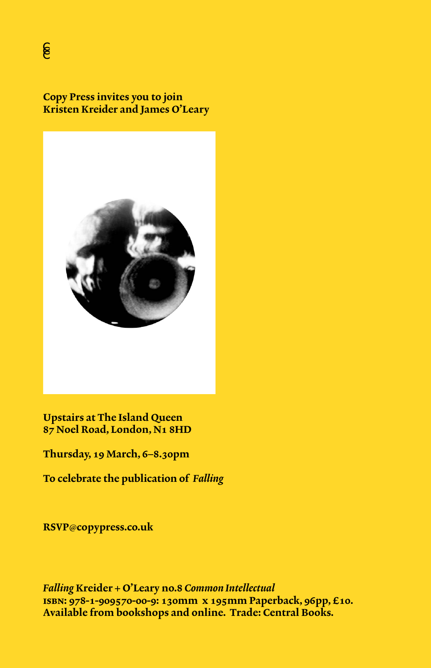[Copy Press](http://www.copypress.co.uk/index/copy-press-manifesto/) invites you to join Kristen Kreider and James O'Leary



Upstairs at The Island Queen 87 Noel Road, London, N1 8HD

Thursday, 19 March, 6–8.30pm

To celebrate the publication of *[Falling](http://www.copypress.co.uk/index/falling/)*

RSVP@[copypress.co.uk](mailto:RSVP%40copypress.co.uk?subject=)

*[Falling](http://www.copypress.co.uk/index/falling/)* Kreider + O'Leary no.8 *[Common Intellectual](http://www.copypress.co.uk)* isbn: 978-1-909570-00-9: 130mm x 195mm Paperback, 96pp, £10. Available from bookshops and [online.](http://www.bookdepository.com/Falling-Kristen-Kreider/9781909570016) Trade: [Central Books.](http://www.centralbooks.co.uk/acatalog/search.html)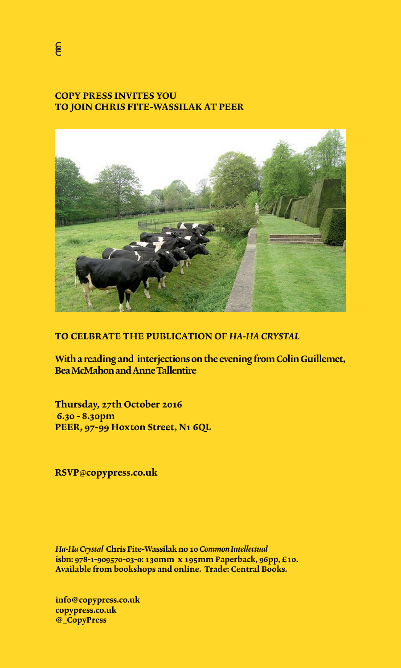# [COPY PRESS INVITES YOU](http://www.peeruk.org/fitewassilak)  [TO JOIN CHRIS FITE-WASSILAK AT PEER](http://www.copypress.co.uk/index/readers-union/)



# TO CELBRATE THE PUBLICATION OF *[HA-HA CRYSTAL](http://www.copypress.co.uk/index/ha-ha-crystal-by-chris-fite-wassilak/)*

[With a reading and interjections on the evening from Colin Guillemet,](http://www.copypress.co.uk/index/ha-ha-crystal-by-chris-fite-wassilak/) Bea McMahon and Anne Tallentire

Thursday, 27th October 2016 6.30 - 8.30pm [PEER, 97-99 Hoxton Street, N1 6QL](http://www.peeruk.org)

RSVP@[copypress.co.uk](mailto:?subject=RSVP%20Ha-Ha%20Crystal%20)

*Ha-Ha Crystal* [Chris Fite-Wassilak no 10](http://www.copypress.co.uk/index/ha-ha-crystal-by-chris-fite-wassilak/) *Common Intellectual* [isbn: 978-1-909570-03-](http://www.copypress.co.uk/index/ha-ha-crystal-by-chris-fite-wassilak/)0: 130mm x 195mm Paperback, 96pp, £10. Available from bookshops and online. Trade: Central Books.

info**@**[copypress.co.uk](mailto:info%40copypress.co.uk?subject=) [copypress.co.uk](http://www.copypress.co.uk) **@\_**[CopyPress](https://twitter.com/_CopyPress)